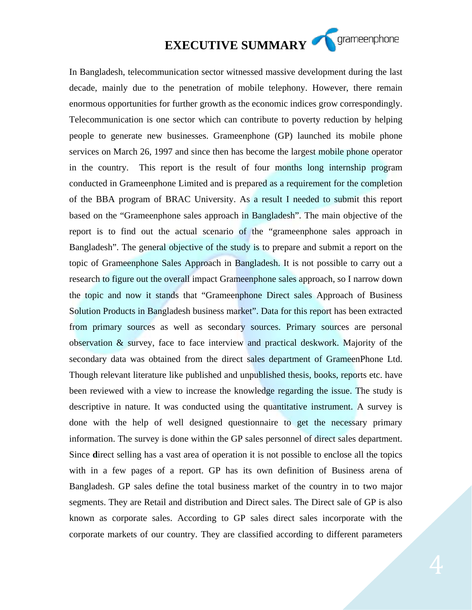## **EXECUTIVE SUMMARY SUMMARY**

In Bangladesh, telecommunication sector witnessed massive development during the last decade, mainly due to the penetration of mobile telephony. However, there remain enormous opportunities for further growth as the economic indices grow correspondingly. Telecommunication is one sector which can contribute to poverty reduction by helping people to generate new businesses. Grameenphone (GP) launched its mobile phone services on March 26, 1997 and since then has become the largest mobile phone operator in the country. This report is the result of four months long internship program conducted in Grameenphone Limited and is prepared as a requirement for the completion of the BBA program of BRAC University. As a result I needed to submit this report based on the "Grameenphone sales approach in Bangladesh". The main objective of the report is to find out the actual scenario of the "grameenphone sales approach in Bangladesh". The general objective of the study is to prepare and submit a report on the topic of Grameenphone Sales Approach in Bangladesh. It is not possible to carry out a research to figure out the overall impact Grameenphone sales approach, so I narrow down the topic and now it stands that "Grameenphone Direct sales Approach of Business Solution Products in Bangladesh business market". Data for this report has been extracted from primary sources as well as secondary sources. Primary sources are personal observation & survey, face to face interview and practical deskwork. Majority of the secondary data was obtained from the direct sales department of GrameenPhone Ltd. Though relevant literature like published and unpublished thesis, books, reports etc. have been reviewed with a view to increase the knowledge regarding the issue. The study is descriptive in nature. It was conducted using the quantitative instrument. A survey is done with the help of well designed questionnaire to get the necessary primary information. The survey is done within the GP sales personnel of direct sales department. Since **d**irect selling has a vast area of operation it is not possible to enclose all the topics with in a few pages of a report. GP has its own definition of Business arena of Bangladesh. GP sales define the total business market of the country in to two major segments. They are Retail and distribution and Direct sales. The Direct sale of GP is also known as corporate sales. According to GP sales direct sales incorporate with the corporate markets of our country. They are classified according to different parameters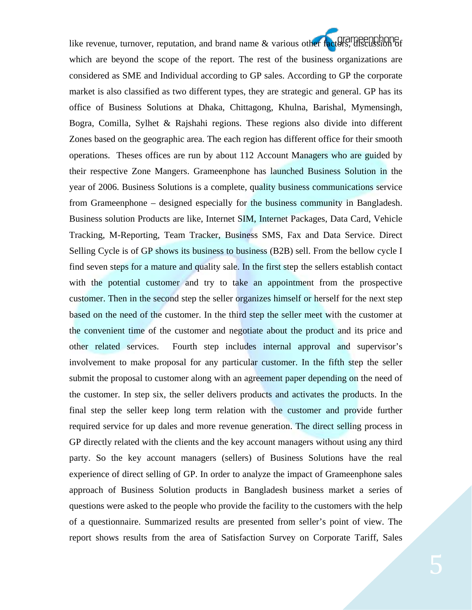like revenue, turnover, reputation, and brand name & various other factors, discussion of which are beyond the scope of the report. The rest of the business organizations are considered as SME and Individual according to GP sales. According to GP the corporate market is also classified as two different types, they are strategic and general. GP has its office of Business Solutions at Dhaka, Chittagong, Khulna, Barishal, Mymensingh, Bogra, Comilla, Sylhet & Rajshahi regions. These regions also divide into different Zones based on the geographic area. The each region has different office for their smooth operations. Theses offices are run by about 112 Account Managers who are guided by their respective Zone Mangers. Grameenphone has launched Business Solution in the year of 2006. Business Solutions is a complete, quality business communications service from Grameenphone – designed especially for the business community in Bangladesh. Business solution Products are like, Internet SIM, Internet Packages, Data Card, Vehicle Tracking, M-Reporting, Team Tracker, Business SMS, Fax and Data Service. Direct Selling Cycle is of GP shows its business to business (B2B) sell. From the bellow cycle I find seven steps for a mature and quality sale. In the first step the sellers establish contact with the potential customer and try to take an appointment from the prospective customer. Then in the second step the seller organizes himself or herself for the next step based on the need of the customer. In the third step the seller meet with the customer at the convenient time of the customer and negotiate about the product and its price and other related services. Fourth step includes internal approval and supervisor's involvement to make proposal for any particular customer. In the fifth step the seller submit the proposal to customer along with an agreement paper depending on the need of the customer. In step six, the seller delivers products and activates the products. In the final step the seller keep long term relation with the customer and provide further required service for up dales and more revenue generation. The direct selling process in GP directly related with the clients and the key account managers without using any third party. So the key account managers (sellers) of Business Solutions have the real experience of direct selling of GP. In order to analyze the impact of Grameenphone sales approach of Business Solution products in Bangladesh business market a series of questions were asked to the people who provide the facility to the customers with the help of a questionnaire. Summarized results are presented from seller's point of view. The report shows results from the area of Satisfaction Survey on Corporate Tariff, Sales